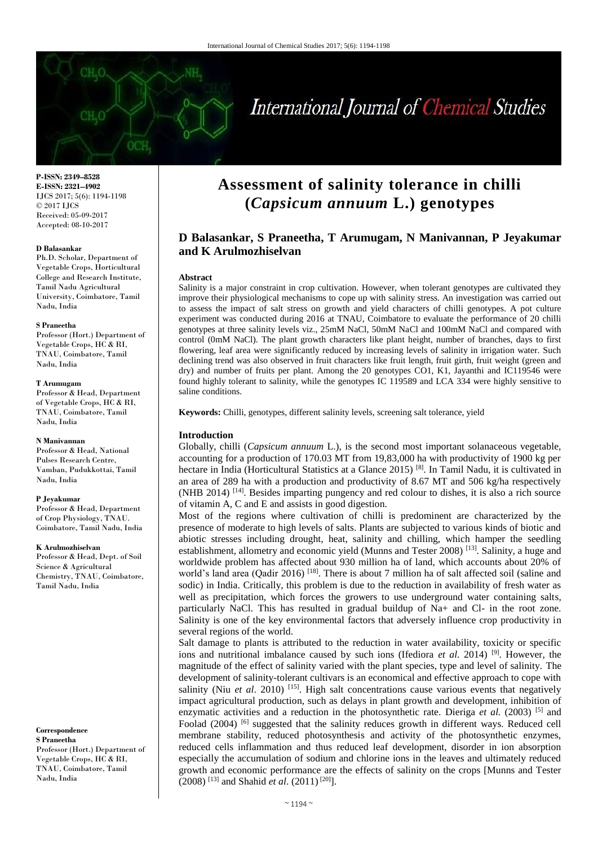# International Journal of Chemical Studies

**P-ISSN: 2349–8528 E-ISSN: 2321–4902** IJCS 2017; 5(6): 1194-1198 © 2017 IJCS Received: 05-09-2017 Accepted: 08-10-2017

### **D Balasankar**

Ph.D. Scholar, Department of Vegetable Crops, Horticultural College and Research Institute, Tamil Nadu Agricultural University, Coimbatore, Tamil Nadu, India

### **S Praneetha**

Professor (Hort.) Department of Vegetable Crops, HC & RI, TNAU, Coimbatore, Tamil Nadu, India

### **T Arumugam**

Professor & Head, Department of Vegetable Crops, HC & RI, TNAU, Coimbatore, Tamil Nadu, India

### **N Manivannan**

Professor & Head, National Pulses Research Centre, Vamban, Pudukkottai, Tamil Nadu, India

### **P Jeyakumar**

Professor & Head, Department of Crop Physiology, TNAU. Coimbatore, Tamil Nadu, India

### **K Arulmozhiselvan**

Professor & Head, Dept. of Soil Science & Agricultural Chemistry, TNAU, Coimbatore, Tamil Nadu, India

**Correspondence S Praneetha** Professor (Hort.) Department of Vegetable Crops, HC & RI, TNAU, Coimbatore, Tamil Nadu, India

## **Assessment of salinity tolerance in chilli (***Capsicum annuum* **L.) genotypes**

### **D Balasankar, S Praneetha, T Arumugam, N Manivannan, P Jeyakumar and K Arulmozhiselvan**

### **Abstract**

Salinity is a major constraint in crop cultivation. However, when tolerant genotypes are cultivated they improve their physiological mechanisms to cope up with salinity stress. An investigation was carried out to assess the impact of salt stress on growth and yield characters of chilli genotypes. A pot culture experiment was conducted during 2016 at TNAU, Coimbatore to evaluate the performance of 20 chilli genotypes at three salinity levels viz., 25mM NaCl, 50mM NaCl and 100mM NaCl and compared with control (0mM NaCl). The plant growth characters like plant height, number of branches, days to first flowering, leaf area were significantly reduced by increasing levels of salinity in irrigation water. Such declining trend was also observed in fruit characters like fruit length, fruit girth, fruit weight (green and dry) and number of fruits per plant. Among the 20 genotypes CO1, K1, Jayanthi and IC119546 were found highly tolerant to salinity, while the genotypes IC 119589 and LCA 334 were highly sensitive to saline conditions.

**Keywords:** Chilli, genotypes, different salinity levels, screening salt tolerance, yield

### **Introduction**

Globally, chilli (*Capsicum annuum* L.), is the second most important solanaceous vegetable, accounting for a production of 170.03 MT from 19,83,000 ha with productivity of 1900 kg per hectare in India (Horticultural Statistics at a Glance 2015)<sup>[8]</sup>. In Tamil Nadu, it is cultivated in an area of 289 ha with a production and productivity of 8.67 MT and 506 kg/ha respectively (NHB 2014) [14] . Besides imparting pungency and red colour to dishes, it is also a rich source of vitamin A, C and E and assists in good digestion.

Most of the regions where cultivation of chilli is predominent are characterized by the presence of moderate to high levels of salts. Plants are subjected to various kinds of biotic and abiotic stresses including drought, heat, salinity and chilling, which hamper the seedling establishment, allometry and economic yield (Munns and Tester 2008)<sup>[13]</sup>. Salinity, a huge and worldwide problem has affected about 930 million ha of land, which accounts about 20% of world's land area (Qadir 2016)<sup>[18]</sup>. There is about 7 million ha of salt affected soil (saline and sodic) in India. Critically, this problem is due to the reduction in availability of fresh water as well as precipitation, which forces the growers to use underground water containing salts, particularly NaCl. This has resulted in gradual buildup of Na+ and Cl- in the root zone. Salinity is one of the key environmental factors that adversely influence crop productivity in several regions of the world.

Salt damage to plants is attributed to the reduction in water availability, toxicity or specific ions and nutritional imbalance caused by such ions (Ifediora *et al.* 2014) <sup>[9]</sup>. However, the magnitude of the effect of salinity varied with the plant species, type and level of salinity. The development of salinity-tolerant cultivars is an economical and effective approach to cope with salinity (Niu *et al.* 2010)<sup>[15]</sup>. High salt concentrations cause various events that negatively impact agricultural production, such as delays in plant growth and development, inhibition of enzymatic activities and a reduction in the photosynthetic rate. Dieriga et al. (2003) <sup>[5]</sup> and Foolad (2004) <sup>[6]</sup> suggested that the salinity reduces growth in different ways. Reduced cell membrane stability, reduced photosynthesis and activity of the photosynthetic enzymes, reduced cells inflammation and thus reduced leaf development, disorder in ion absorption especially the accumulation of sodium and chlorine ions in the leaves and ultimately reduced growth and economic performance are the effects of salinity on the crops [Munns and Tester (2008) [13] and Shahid *et al*. (2011) [20]].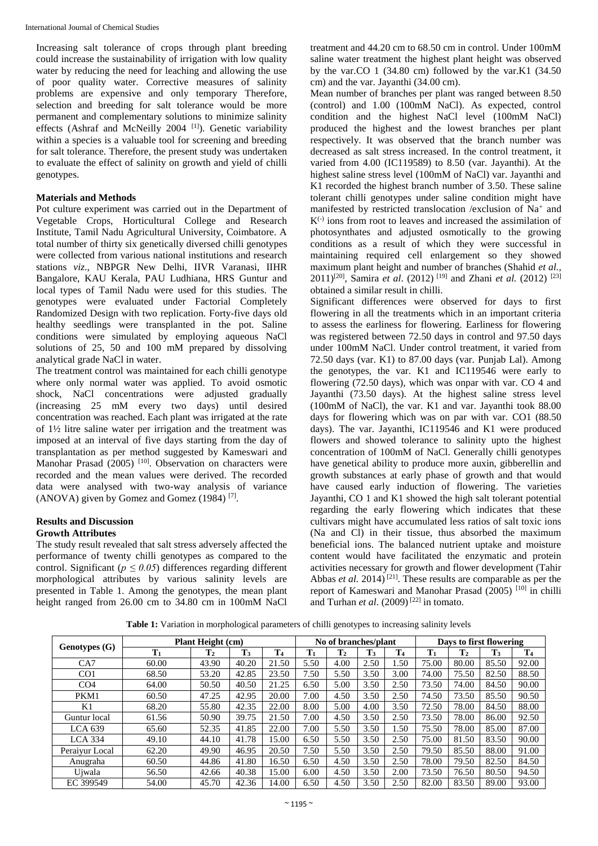Increasing salt tolerance of crops through plant breeding could increase the sustainability of irrigation with low quality water by reducing the need for leaching and allowing the use of poor quality water. Corrective measures of salinity problems are expensive and only temporary Therefore, selection and breeding for salt tolerance would be more permanent and complementary solutions to minimize salinity effects (Ashraf and McNeilly 2004<sup>[1]</sup>). Genetic variability within a species is a valuable tool for screening and breeding for salt tolerance. Therefore, the present study was undertaken to evaluate the effect of salinity on growth and yield of chilli genotypes.

### **Materials and Methods**

Pot culture experiment was carried out in the Department of Vegetable Crops, Horticultural College and Research Institute, Tamil Nadu Agricultural University, Coimbatore. A total number of thirty six genetically diversed chilli genotypes were collected from various national institutions and research stations *viz*., NBPGR New Delhi, IIVR Varanasi, IIHR Bangalore, KAU Kerala, PAU Ludhiana, HRS Guntur and local types of Tamil Nadu were used for this studies. The genotypes were evaluated under Factorial Completely Randomized Design with two replication. Forty-five days old healthy seedlings were transplanted in the pot. Saline conditions were simulated by employing aqueous NaCl solutions of 25, 50 and 100 mM prepared by dissolving analytical grade NaCl in water.

The treatment control was maintained for each chilli genotype where only normal water was applied. To avoid osmotic shock, NaCl concentrations were adjusted gradually (increasing 25 mM every two days) until desired concentration was reached. Each plant was irrigated at the rate of 1½ litre saline water per irrigation and the treatment was imposed at an interval of five days starting from the day of transplantation as per method suggested by Kameswari and Manohar Prasad (2005)  $[10]$ . Observation on characters were recorded and the mean values were derived. The recorded data were analysed with two-way analysis of variance (ANOVA) given by Gomez and Gomez (1984) [7] .

### **Results and Discussion Growth Attributes**

The study result revealed that salt stress adversely affected the performance of twenty chilli genotypes as compared to the control. Significant ( $p \le 0.05$ ) differences regarding different morphological attributes by various salinity levels are presented in Table 1. Among the genotypes, the mean plant height ranged from 26.00 cm to 34.80 cm in 100mM NaCl

treatment and 44.20 cm to 68.50 cm in control. Under 100mM saline water treatment the highest plant height was observed by the var.CO  $1$  (34.80 cm) followed by the var.K1 (34.50) cm) and the var. Jayanthi (34.00 cm).

Mean number of branches per plant was ranged between 8.50 (control) and 1.00 (100mM NaCl). As expected, control condition and the highest NaCl level (100mM NaCl) produced the highest and the lowest branches per plant respectively. It was observed that the branch number was decreased as salt stress increased. In the control treatment, it varied from 4.00 (IC119589) to 8.50 (var. Jayanthi). At the highest saline stress level (100mM of NaCl) var. Jayanthi and K1 recorded the highest branch number of 3.50. These saline tolerant chilli genotypes under saline condition might have manifested by restricted translocation /exclusion of Na<sup>+</sup> and  $K^{(-)}$  ions from root to leaves and increased the assimilation of photosynthates and adjusted osmotically to the growing conditions as a result of which they were successful in maintaining required cell enlargement so they showed maximum plant height and number of branches (Shahid *et al.,*  2011)[20] , Samira *et al*. (2012) [19] and Zhani *et al.* (2012) [23] obtained a similar result in chilli.

Significant differences were observed for days to first flowering in all the treatments which in an important criteria to assess the earliness for flowering. Earliness for flowering was registered between 72.50 days in control and 97.50 days under 100mM NaCl. Under control treatment, it varied from 72.50 days (var. K1) to 87.00 days (var. Punjab Lal). Among the genotypes, the var. K1 and IC119546 were early to flowering (72.50 days), which was onpar with var. CO 4 and Jayanthi (73.50 days). At the highest saline stress level (100mM of NaCl), the var. K1 and var. Jayanthi took 88.00 days for flowering which was on par with var. CO1 (88.50 days). The var. Jayanthi, IC119546 and K1 were produced flowers and showed tolerance to salinity upto the highest concentration of 100mM of NaCl. Generally chilli genotypes have genetical ability to produce more auxin, gibberellin and growth substances at early phase of growth and that would have caused early induction of flowering. The varieties Jayanthi, CO 1 and K1 showed the high salt tolerant potential regarding the early flowering which indicates that these cultivars might have accumulated less ratios of salt toxic ions (Na and Cl) in their tissue, thus absorbed the maximum beneficial ions. The balanced nutrient uptake and moisture content would have facilitated the enzymatic and protein activities necessary for growth and flower development (Tahir Abbas *et al.* 2014)<sup>[21]</sup>. These results are comparable as per the report of Kameswari and Manohar Prasad (2005) [10] in chilli and Turhan *et al*. (2009) [22] in tomato.

|                 | <b>Plant Height (cm)</b> |                | No of branches/plant |                |       | Days to first flowering |                |                |                |                |                |                |
|-----------------|--------------------------|----------------|----------------------|----------------|-------|-------------------------|----------------|----------------|----------------|----------------|----------------|----------------|
| Genotypes (G)   | $T_1$                    | $\mathbf{T}_2$ | $T_3$                | T <sub>4</sub> | $T_1$ | T <sub>2</sub>          | $\mathbf{T}_3$ | T <sub>4</sub> | $\mathbf{T}_1$ | $\mathbf{T}_2$ | $\mathbf{T}_3$ | T <sub>4</sub> |
| CA7             | 60.00                    | 43.90          | 40.20                | 21.50          | 5.50  | 4.00                    | 2.50           | 1.50           | 75.00          | 80.00          | 85.50          | 92.00          |
| CO <sub>1</sub> | 68.50                    | 53.20          | 42.85                | 23.50          | 7.50  | 5.50                    | 3.50           | 3.00           | 74.00          | 75.50          | 82.50          | 88.50          |
| CO <sub>4</sub> | 64.00                    | 50.50          | 40.50                | 21.25          | 6.50  | 5.00                    | 3.50           | 2.50           | 73.50          | 74.00          | 84.50          | 90.00          |
| PKM1            | 60.50                    | 47.25          | 42.95                | 20.00          | 7.00  | 4.50                    | 3.50           | 2.50           | 74.50          | 73.50          | 85.50          | 90.50          |
| K1              | 68.20                    | 55.80          | 42.35                | 22.00          | 8.00  | 5.00                    | 4.00           | 3.50           | 72.50          | 78.00          | 84.50          | 88.00          |
| Guntur local    | 61.56                    | 50.90          | 39.75                | 21.50          | 7.00  | 4.50                    | 3.50           | 2.50           | 73.50          | 78.00          | 86.00          | 92.50          |
| LCA $639$       | 65.60                    | 52.35          | 41.85                | 22.00          | 7.00  | 5.50                    | 3.50           | 1.50           | 75.50          | 78.00          | 85.00          | 87.00          |
| $LCA$ 334       | 49.10                    | 44.10          | 41.78                | 15.00          | 6.50  | 5.50                    | 3.50           | 2.50           | 75.00          | 81.50          | 83.50          | 90.00          |
| Peraivur Local  | 62.20                    | 49.90          | 46.95                | 20.50          | 7.50  | 5.50                    | 3.50           | 2.50           | 79.50          | 85.50          | 88.00          | 91.00          |
| Anugraha        | 60.50                    | 44.86          | 41.80                | 16.50          | 6.50  | 4.50                    | 3.50           | 2.50           | 78.00          | 79.50          | 82.50          | 84.50          |
| Uiwala          | 56.50                    | 42.66          | 40.38                | 15.00          | 6.00  | 4.50                    | 3.50           | 2.00           | 73.50          | 76.50          | 80.50          | 94.50          |
| EC 399549       | 54.00                    | 45.70          | 42.36                | 14.00          | 6.50  | 4.50                    | 3.50           | 2.50           | 82.00          | 83.50          | 89.00          | 93.00          |

**Table 1:** Variation in morphological parameters of chilli genotypes to increasing salinity levels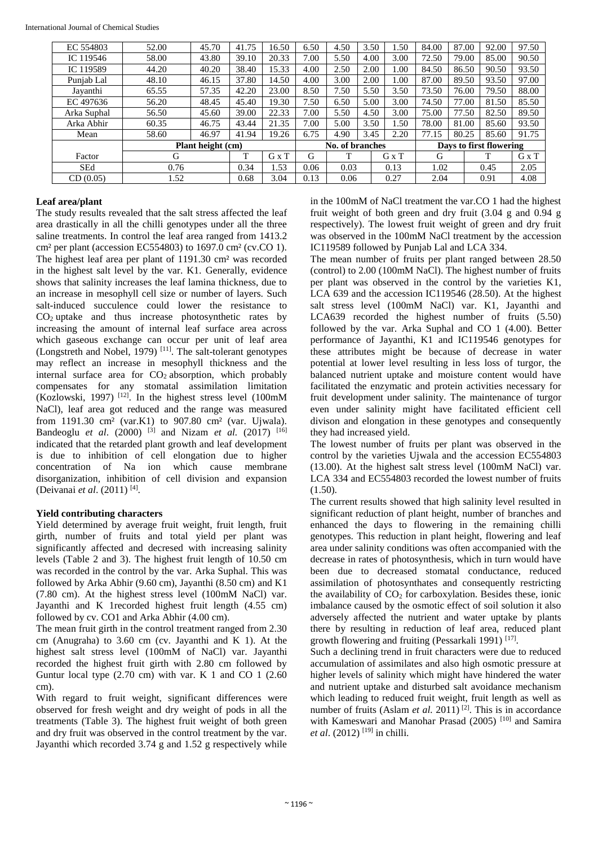| EC 554803   | 45.70<br>52.00 |                   | 41.75        | 16.50 | 6.50            | 4.50         | 3.50  | 1.50 | 84.00 | 87.00                   | 92.00 | 97.50 |
|-------------|----------------|-------------------|--------------|-------|-----------------|--------------|-------|------|-------|-------------------------|-------|-------|
| IC 119546   | 58.00<br>43.80 |                   | 39.10        | 20.33 | 7.00            | 5.50         | 4.00  | 3.00 | 72.50 | 79.00                   | 85.00 | 90.50 |
| IC 119589   | 44.20<br>40.20 |                   | 38.40        | 15.33 | 4.00            | 2.50         | 2.00  | 1.00 | 84.50 | 86.50                   | 90.50 | 93.50 |
| Punjab Lal  | 48.10<br>46.15 |                   | 37.80        | 14.50 | 4.00            | 3.00         | 2.00  | 0.1  | 87.00 | 89.50                   | 93.50 | 97.00 |
| Jayanthi    | 57.35<br>65.55 |                   | 42.20        | 23.00 | 8.50            | 7.50         | 5.50  | 3.50 | 73.50 | 76.00                   | 79.50 | 88.00 |
| EC 497636   | 48.45<br>56.20 |                   | 45.40        | 19.30 | 7.50            | 6.50         | 5.00  | 3.00 | 74.50 | 77.00                   | 81.50 | 85.50 |
| Arka Suphal | 56.50<br>45.60 |                   | 39.00        | 22.33 | 7.00            | 5.50         | 4.50  | 3.00 | 75.00 | 77.50                   | 82.50 | 89.50 |
| Arka Abhir  | 46.75<br>60.35 |                   | 43.44        | 21.35 | 00.1            | 5.00         | 3.50  | 1.50 | 78.00 | 81.00                   | 85.60 | 93.50 |
| Mean        | 58.60<br>46.97 |                   | 41.94        | 19.26 | 6.75            | 4.90<br>3.45 |       | 2.20 | 77.15 | 80.25                   | 85.60 | 91.75 |
|             |                | Plant height (cm) |              |       | No. of branches |              |       |      |       | Days to first flowering |       |       |
| Factor      | G              | T                 | $G \times T$ | G     |                 |              | G x T | G    |       | т                       | G x T |       |
| <b>SEd</b>  | 0.76           |                   | 0.34         | 1.53  | 0.06            | 0.03         |       | 0.13 | 1.02  | 0.45                    |       | 2.05  |
| CD(0.05)    | 1.52           | 0.68              | 3.04         | 0.13  | 0.06            |              | 0.27  | 2.04 |       | 0.91                    | 4.08  |       |

### **Leaf area/plant**

The study results revealed that the salt stress affected the leaf area drastically in all the chilli genotypes under all the three saline treatments. In control the leaf area ranged from 1413.2 cm² per plant (accession EC554803) to 1697.0 cm² (cv.CO 1). The highest leaf area per plant of 1191.30 cm² was recorded in the highest salt level by the var. K1. Generally, evidence shows that salinity increases the leaf lamina thickness, due to an increase in mesophyll cell size or number of layers. Such salt-induced succulence could lower the resistance to  $CO<sub>2</sub>$  uptake and thus increase photosynthetic rates by increasing the amount of internal leaf surface area across which gaseous exchange can occur per unit of leaf area (Longstreth and Nobel, 1979)<sup>[11]</sup>. The salt-tolerant genotypes may reflect an increase in mesophyll thickness and the internal surface area for  $CO<sub>2</sub>$  absorption, which probably compensates for any stomatal assimilation limitation (Kozlowski, 1997)<sup>[12]</sup>. In the highest stress level  $(100 \text{mM})$ NaCl), leaf area got reduced and the range was measured from 1191.30 cm² (var.K1) to 907.80 cm² (var. Ujwala). Bandeoglu *et al*. (2000) [3] and Nizam *et al.* (2017) [16] indicated that the retarded plant growth and leaf development is due to inhibition of cell elongation due to higher concentration of Na ion which cause membrane disorganization, inhibition of cell division and expansion (Deivanai *et al*. (2011) [4] .

### **Yield contributing characters**

Yield determined by average fruit weight, fruit length, fruit girth, number of fruits and total yield per plant was significantly affected and decresed with increasing salinity levels (Table 2 and 3). The highest fruit length of 10.50 cm was recorded in the control by the var. Arka Suphal. This was followed by Arka Abhir (9.60 cm), Jayanthi (8.50 cm) and K1 (7.80 cm). At the highest stress level (100mM NaCl) var. Jayanthi and K 1recorded highest fruit length (4.55 cm) followed by cv. CO1 and Arka Abhir (4.00 cm).

The mean fruit girth in the control treatment ranged from 2.30 cm (Anugraha) to 3.60 cm (cv. Jayanthi and K 1). At the highest salt stress level (100mM of NaCl) var. Jayanthi recorded the highest fruit girth with 2.80 cm followed by Guntur local type  $(2.70 \text{ cm})$  with var. K 1 and CO 1  $(2.60 \text{ m})$ cm).

With regard to fruit weight, significant differences were observed for fresh weight and dry weight of pods in all the treatments (Table 3). The highest fruit weight of both green and dry fruit was observed in the control treatment by the var. Jayanthi which recorded 3.74 g and 1.52 g respectively while in the 100mM of NaCl treatment the var.CO 1 had the highest fruit weight of both green and dry fruit (3.04 g and 0.94 g respectively). The lowest fruit weight of green and dry fruit was observed in the 100mM NaCl treatment by the accession IC119589 followed by Punjab Lal and LCA 334.

The mean number of fruits per plant ranged between 28.50 (control) to 2.00 (100mM NaCl). The highest number of fruits per plant was observed in the control by the varieties K1, LCA 639 and the accession IC119546  $(28.50)$ . At the highest salt stress level (100mM NaCl) var. K1, Jayanthi and LCA639 recorded the highest number of fruits (5.50) followed by the var. Arka Suphal and CO 1 (4.00). Better performance of Jayanthi, K1 and IC119546 genotypes for these attributes might be because of decrease in water potential at lower level resulting in less loss of turgor, the balanced nutrient uptake and moisture content would have facilitated the enzymatic and protein activities necessary for fruit development under salinity. The maintenance of turgor even under salinity might have facilitated efficient cell divison and elongation in these genotypes and consequently they had increased yield.

The lowest number of fruits per plant was observed in the control by the varieties Ujwala and the accession EC554803 (13.00). At the highest salt stress level (100mM NaCl) var. LCA 334 and EC554803 recorded the lowest number of fruits (1.50).

The current results showed that high salinity level resulted in significant reduction of plant height, number of branches and enhanced the days to flowering in the remaining chilli genotypes. This reduction in plant height, flowering and leaf area under salinity conditions was often accompanied with the decrease in rates of photosynthesis, which in turn would have been due to decreased stomatal conductance, reduced assimilation of photosynthates and consequently restricting the availability of  $CO<sub>2</sub>$  for carboxylation. Besides these, ionic imbalance caused by the osmotic effect of soil solution it also adversely affected the nutrient and water uptake by plants there by resulting in reduction of leaf area, reduced plant growth flowering and fruiting (Pessarkali 1991)<sup>[17]</sup>.

Such a declining trend in fruit characters were due to reduced accumulation of assimilates and also high osmotic pressure at higher levels of salinity which might have hindered the water and nutrient uptake and disturbed salt avoidance mechanism which leading to reduced fruit weight, fruit length as well as number of fruits (Aslam *et al.* 2011)<sup>[2]</sup>. This is in accordance with Kameswari and Manohar Prasad (2005)<sup>[10]</sup> and Samira *et al.* (2012)<sup>[19]</sup> in chilli.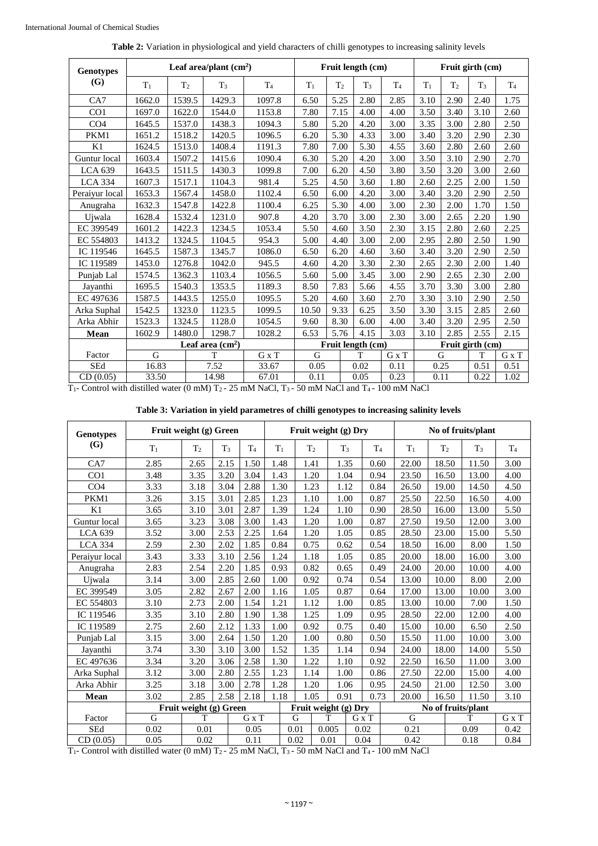| <b>Genotypes</b>   |                                                       |                | Leaf area/plant $(cm2)$ |                        |                       | Fruit length (cm)                      |                | Fruit girth (cm)                           |       |                  |                |                |  |
|--------------------|-------------------------------------------------------|----------------|-------------------------|------------------------|-----------------------|----------------------------------------|----------------|--------------------------------------------|-------|------------------|----------------|----------------|--|
| (G)                | $T_1$                                                 | T <sub>2</sub> | $T_3$                   | T <sub>4</sub>         | $T_1$                 | T <sub>2</sub>                         | T <sub>3</sub> | T <sub>4</sub>                             | $T_1$ | T <sub>2</sub>   | T <sub>3</sub> | T <sub>4</sub> |  |
| CA7                | 1662.0                                                | 1539.5         | 1429.3                  | 1097.8                 | 6.50                  | 5.25                                   | 2.80           | 2.85                                       | 3.10  | 2.90             | 2.40           | 1.75           |  |
| CO <sub>1</sub>    | 1697.0                                                | 1622.0         | 1544.0                  | 1153.8                 | 7.80                  | 7.15                                   | 4.00           | 4.00                                       | 3.50  | 3.40             | 3.10           | 2.60           |  |
| CO <sub>4</sub>    | 1645.5                                                | 1537.0         | 1438.3                  | 1094.3                 | 5.80                  | 5.20                                   | 4.20           | 3.00                                       | 3.35  | 3.00             | 2.80           | 2.50           |  |
| PKM1               | 1651.2                                                | 1518.2         | 1420.5                  | 1096.5                 | 6.20                  | 5.30                                   | 4.33           | 3.00                                       | 3.40  | 3.20             | 2.90           | 2.30           |  |
| K1                 | 1624.5                                                | 1513.0         | 1408.4                  | 1191.3                 | 7.80                  | 7.00                                   | 5.30           | 4.55                                       | 3.60  | 2.80             | 2.60           | 2.60           |  |
| Guntur local       | 1603.4                                                | 1507.2         | 1415.6                  | 1090.4                 | 6.30                  | 5.20                                   | 4.20           | 3.00                                       | 3.50  | 3.10             | 2.90           | 2.70           |  |
| <b>LCA 639</b>     | 1643.5                                                | 1511.5         | 1430.3                  | 1099.8                 | 7.00                  | 6.20                                   | 4.50           | 3.80                                       | 3.50  | 3.20             | 3.00           | 2.60           |  |
| <b>LCA 334</b>     | 1607.3                                                | 1517.1         | 1104.3                  | 981.4                  | 5.25                  | 4.50                                   | 3.60           | 1.80                                       | 2.60  | 2.25             | 2.00           | 1.50           |  |
| Peraiyur local     | 1653.3                                                | 1567.4         | 1458.0                  | 1102.4                 | 6.50                  | 6.00                                   | 4.20           | 3.00                                       | 3.40  | 3.20             | 2.90           | 2.50           |  |
| Anugraha           | 1632.3                                                | 1547.8         | 1422.8                  | 1100.4                 | 6.25                  | 5.30                                   | 4.00           | 3.00                                       | 2.30  | 2.00             | 1.70           | 1.50           |  |
| Ujwala             | 1628.4                                                | 1532.4         | 1231.0                  | 907.8                  | 4.20                  | 3.70                                   |                | 2.30                                       | 3.00  | 2.65             | 2.20           | 1.90           |  |
| EC 399549          | 1601.2                                                | 1422.3         | 1234.5                  | 1053.4                 | 5.50                  | 4.60                                   |                | 2.30                                       | 3.15  | 2.80             | 2.60           | 2.25           |  |
| EC 554803          | 1413.2                                                | 1324.5         | 1104.5                  | 954.3                  | 5.00                  | 4.40                                   | 3.00           | 2.00                                       | 2.95  | 2.80             | 2.50           | 1.90           |  |
| IC 119546          | 1645.5                                                | 1587.3         | 1345.7                  | 1086.0                 | 6.50                  | 6.20                                   | 4.60           | 3.60                                       | 3.40  | 3.20             | 2.90           | 2.50           |  |
| IC 119589          | 1453.0                                                | 1276.8         | 1042.0                  | 945.5                  | 4.60<br>4.20          |                                        | 3.30           | 2.30                                       | 2.65  | 2.30             | 2.00           | 1.40           |  |
| Punjab Lal         | 1574.5                                                | 1362.3         | 1103.4                  | 1056.5                 | 5.00<br>5.60          |                                        | 3.45           | 3.00                                       | 2.90  | 2.65             | 2.30           | 2.00           |  |
| Jayanthi           | 1695.5                                                | 1540.3         | 1353.5                  | 1189.3                 | 8.50                  | 7.83                                   | 5.66           | 4.55                                       | 3.70  | 3.30             | 3.00           | 2.80           |  |
| EC 497636          | 1587.5                                                | 1443.5         | 1255.0                  | 1095.5                 | 5.20                  | 4.60                                   | 3.60           | 2.70                                       | 3.30  | 3.10             | 2.90           | 2.50           |  |
| Arka Suphal        | 1542.5                                                | 1323.0         | 1123.5                  | 1099.5                 | 10.50                 | 9.33                                   | 6.25           | 3.50                                       | 3.30  | 3.15             | 2.85           | 2.60           |  |
| Arka Abhir         | 1523.3                                                | 1324.5         | 1128.0                  | 1054.5                 | 9.60                  | 8.30                                   | 6.00           | 4.00                                       | 3.40  | 3.20             | 2.95           | 2.50           |  |
| Mean               | 1602.9                                                | 1480.0         | 1298.7                  | 1028.2                 | 6.53                  | 5.76                                   | 4.15           | 3.03                                       | 3.10  | 2.85             | 2.55           | 2.15           |  |
|                    | Leaf area $(cm2)$                                     |                |                         |                        |                       | Fruit length (cm)                      |                |                                            |       | Fruit girth (cm) |                |                |  |
| Factor             | G                                                     |                | T                       | $G \times T$           | G                     |                                        | T              | G x T                                      | G     |                  | T              | $G \times T$   |  |
| <b>SEd</b>         | 16.83                                                 |                | 7.52                    | 33.67                  | 0.05                  |                                        | 0.02           | 0.11                                       | 0.25  |                  | 0.51           | 0.51           |  |
| CD(0.05)<br>$\sim$ | 33.50<br>$\mathbf{r}$ and $\mathbf{r}$ are defined as |                | 14.98                   | 67.01<br>$\frac{1}{2}$ | 0.11<br>$\sim$ $\sim$ | $\mathbf{r}$ $\mathbf{r}$ $\mathbf{r}$ | 0.05           | 0.23<br>$\overline{1}$<br>$\overline{100}$ | 0.11  |                  | 0.22           | 1.02           |  |

| <b>Table 2:</b> Variation in physiological and yield characters of chilli genotypes to increasing salinity levels |  |  |  |  |  |  |  |  |  |  |  |
|-------------------------------------------------------------------------------------------------------------------|--|--|--|--|--|--|--|--|--|--|--|
|-------------------------------------------------------------------------------------------------------------------|--|--|--|--|--|--|--|--|--|--|--|

T1- Control with distilled water (0 mM) T2 - 25 mM NaCl, T3 - 50 mM NaCl and T4 - 100 mM NaCl

| Table 3: Variation in yield parametres of chilli genotypes to increasing salinity levels |  |  |
|------------------------------------------------------------------------------------------|--|--|
|                                                                                          |  |  |

|                  | Fruit weight (g) Green |                        |       |                |                      |                      |                |      |       |                |       | No of fruits/plant |                |   |       |                |
|------------------|------------------------|------------------------|-------|----------------|----------------------|----------------------|----------------|------|-------|----------------|-------|--------------------|----------------|---|-------|----------------|
| <b>Genotypes</b> |                        |                        |       |                |                      | Fruit weight (g) Dry |                |      |       |                |       |                    |                |   |       |                |
| (G)              | $T_1$                  | T <sub>2</sub>         | $T_3$ | T <sub>4</sub> | $T_1$                |                      | T <sub>2</sub> |      | $T_3$ | T <sub>4</sub> |       | $T_1$              | T <sub>2</sub> |   | $T_3$ | T <sub>4</sub> |
| CA7              | 2.85                   | 2.65                   | 2.15  | 1.50           | 1.48                 | 1.41                 |                | 1.35 |       | 0.60           |       | 22.00              | 18.50          |   | 11.50 | 3.00           |
| CO <sub>1</sub>  | 3.48                   | 3.35                   | 3.20  | 3.04           | 1.43                 |                      | 1.20           | 1.04 |       | 0.94           |       | 23.50              | 16.50          |   | 13.00 | 4.00           |
| CO <sub>4</sub>  | 3.33                   | 3.18                   | 3.04  | 2.88           | 1.30                 | 1.23                 |                | 1.12 |       | 0.84           |       | 26.50              | 19.00          |   | 14.50 | 4.50           |
| PKM1             | 3.26                   | 3.15                   | 3.01  | 2.85           | 1.23                 |                      | 1.10           | 1.00 |       | 0.87           |       | 25.50              | 22.50          |   | 16.50 | 4.00           |
| K1               | 3.65                   | 3.10                   | 3.01  | 2.87           | 1.39                 |                      | 1.24           | 1.10 |       | 0.90           |       | 28.50              | 16.00          |   | 13.00 | 5.50           |
| Guntur local     | 3.65                   | 3.23                   | 3.08  | 3.00           | 1.43                 |                      | 1.20           | 1.00 |       | 0.87           |       | 27.50              | 19.50          |   | 12.00 | 3.00           |
| <b>LCA 639</b>   | 3.52                   | 3.00                   | 2.53  | 2.25           | 1.64                 |                      | 1.20           | 1.05 |       | 0.85           |       | 28.50              | 23.00          |   | 15.00 | 5.50           |
| <b>LCA 334</b>   | 2.59                   | 2.30                   | 2.02  | 1.85           | 0.84                 | 0.75                 |                | 0.62 |       | 0.54           |       | 18.50              | 16.00          |   | 8.00  | 1.50           |
| Peraiyur local   | 3.43                   | 3.33                   | 3.10  | 2.56           | 1.24                 | 1.18                 |                | 1.05 |       | 0.85           |       | 20.00              | 18.00          |   | 16.00 | 3.00           |
| Anugraha         | 2.83                   | 2.54                   | 2.20  | 1.85           | 0.93                 | 0.82                 |                | 0.65 |       | 0.49           |       | 24.00              | 20.00          |   | 10.00 | 4.00           |
| Ujwala           | 3.14                   | 3.00                   | 2.85  | 2.60           | 1.00                 | 0.92                 |                | 0.74 | 0.54  |                |       | 13.00              | 10.00          |   | 8.00  | 2.00           |
| EC 399549        | 3.05                   | 2.82                   | 2.67  | 2.00           | 1.16                 | 1.05                 |                | 0.87 |       | 0.64           | 17.00 |                    | 13.00          |   | 10.00 | 3.00           |
| EC 554803        | 3.10                   | 2.73                   | 2.00  | 1.54           | 1.21                 |                      | 1.12           | 1.00 |       | 0.85           |       | 13.00              | 10.00          |   | 7.00  | 1.50           |
| IC 119546        | 3.35                   | 3.10                   | 2.80  | 1.90           | 1.38                 | 1.25                 |                | 1.09 |       | 0.95           |       | 28.50              | 22.00          |   | 12.00 | 4.00           |
| IC 119589        | 2.75                   | 2.60                   | 2.12  | 1.33           | 1.00                 | 0.92                 |                | 0.75 | 0.40  |                |       | 15.00              | 10.00          |   | 6.50  | 2.50           |
| Punjab Lal       | 3.15                   | 3.00                   | 2.64  | 1.50           | 1.20                 |                      | 1.00           | 0.80 |       | 0.50           |       | 15.50              | 11.00          |   | 10.00 | 3.00           |
| Jayanthi         | 3.74                   | 3.30                   | 3.10  | 3.00           | 1.52                 | 1.35                 |                | 1.14 |       | 0.94           |       | 24.00              | 18.00          |   | 14.00 | 5.50           |
| EC 497636        | 3.34                   | 3.20                   | 3.06  | 2.58           | 1.30                 | 1.22                 |                | 1.10 |       | 0.92           |       | 22.50              | 16.50          |   | 11.00 | 3.00           |
| Arka Suphal      | 3.12                   | 3.00                   | 2.80  | 2.55           | 1.23                 |                      | 1.14           | 1.00 |       | 0.86           |       | 27.50              | 22.00          |   | 15.00 | 4.00           |
| Arka Abhir       | 3.25                   | 3.18                   | 3.00  | 2.78           | 1.28                 | 1.20                 |                | 1.06 |       | 0.95           |       | 24.50              | 21.00          |   | 12.50 | 3.00           |
| Mean             | 3.02                   | 2.85                   | 2.58  | 2.18           | 1.18                 | 1.05                 |                | 0.91 |       | 0.73           |       | 20.00              | 16.50          |   | 11.50 | 3.10           |
|                  |                        | Fruit weight (g) Green |       |                | Fruit weight (g) Dry |                      |                |      |       |                |       | No of fruits/plant |                |   |       |                |
| Factor           | G                      | T                      |       | G x T          |                      | G                    | T              |      |       | G x T          |       | G                  |                | T |       | G x T          |
| <b>SEd</b>       | 0.02                   | 0.01                   |       | 0.05           |                      | 0.01                 | 0.005          |      | 0.02  |                |       | 0.21               |                |   | 0.09  | 0.42           |
| CD(0.05)         | 0.05                   | 0.02                   |       | 0.11           |                      | 0.02                 | 0.01           |      | 0.04  |                |       | 0.42               |                |   | 0.18  | 0.84           |

T1- Control with distilled water (0 mM) T2 - 25 mM NaCl, T3 - 50 mM NaCl and T4 - 100 mM NaCl